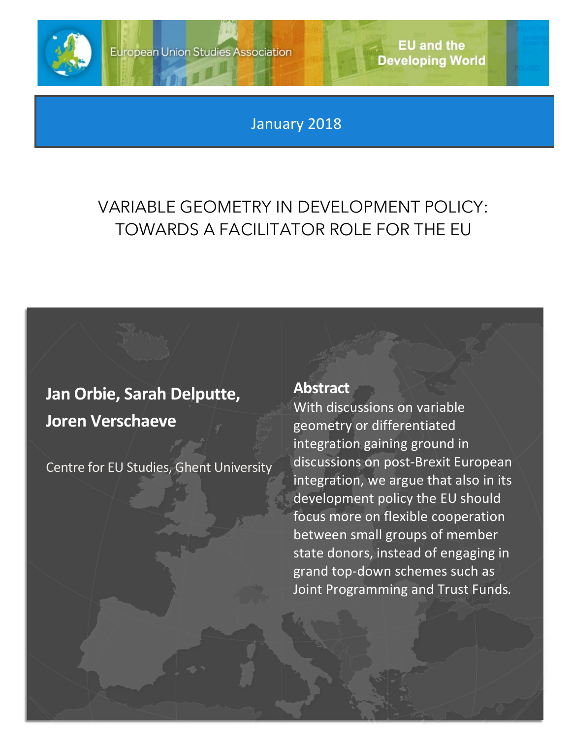

**EU and the Developing World** 

January 2018

## VARIABLE GEOMETRY IN DEVELOPMENT POLICY: TOWARDS A FACILITATOR ROLE FOR THE EU

## **Jan Orbie, Sarah Delputte, Joren Verschaeve**

Centre for EU Studies, Ghent University

## **Abstract**

With discussions on variable geometry or differentiated integration gaining ground in discussions on post-Brexit European integration, we argue that also in its development policy the EU should focus more on flexible cooperation between small groups of member state donors, instead of engaging in grand top-down schemes such as Joint Programming and Trust Funds*.*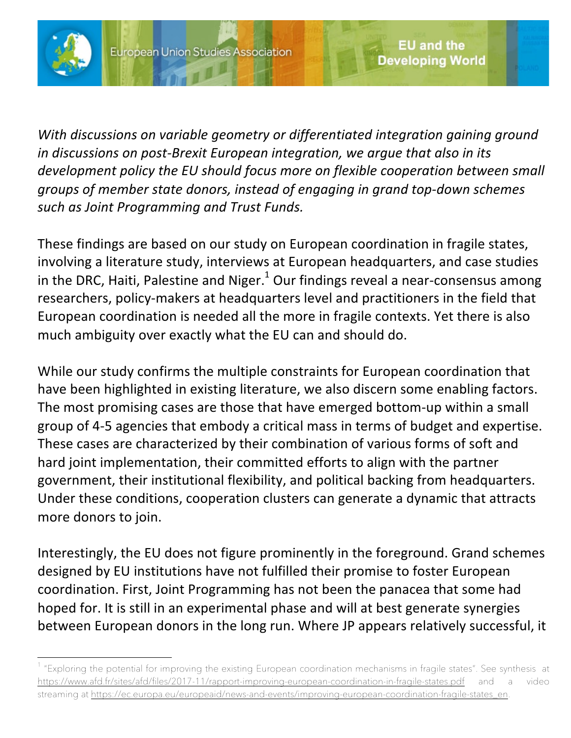

1

*With discussions on variable geometry or differentiated integration gaining ground in discussions on post-Brexit European integration, we argue that also in its development policy the EU should focus more on flexible cooperation between small groups of member state donors, instead of engaging in grand top-down schemes such as Joint Programming and Trust Funds.*

These findings are based on our study on European coordination in fragile states, involving a literature study, interviews at European headquarters, and case studies in the DRC, Haiti, Palestine and Niger. $1$  Our findings reveal a near-consensus among researchers, policy-makers at headquarters level and practitioners in the field that European coordination is needed all the more in fragile contexts. Yet there is also much ambiguity over exactly what the EU can and should do.

While our study confirms the multiple constraints for European coordination that have been highlighted in existing literature, we also discern some enabling factors. The most promising cases are those that have emerged bottom-up within a small group of 4-5 agencies that embody a critical mass in terms of budget and expertise. These cases are characterized by their combination of various forms of soft and hard joint implementation, their committed efforts to align with the partner government, their institutional flexibility, and political backing from headquarters. Under these conditions, cooperation clusters can generate a dynamic that attracts more donors to join.

Interestingly, the EU does not figure prominently in the foreground. Grand schemes designed by EU institutions have not fulfilled their promise to foster European coordination. First, Joint Programming has not been the panacea that some had hoped for. It is still in an experimental phase and will at best generate synergies between European donors in the long run. Where JP appears relatively successful, it

<sup>&</sup>lt;sup>1</sup> "Exploring the potential for improving the existing European coordination mechanisms in fragile states". See synthesis at https://www.afd.fr/sites/afd/files/2017-11/rapport-improving-european-coordination-in-fragile-states.pdf and a video streaming at https://ec.europa.eu/europeaid/news-and-events/improving-european-coordination-fragile-states\_en.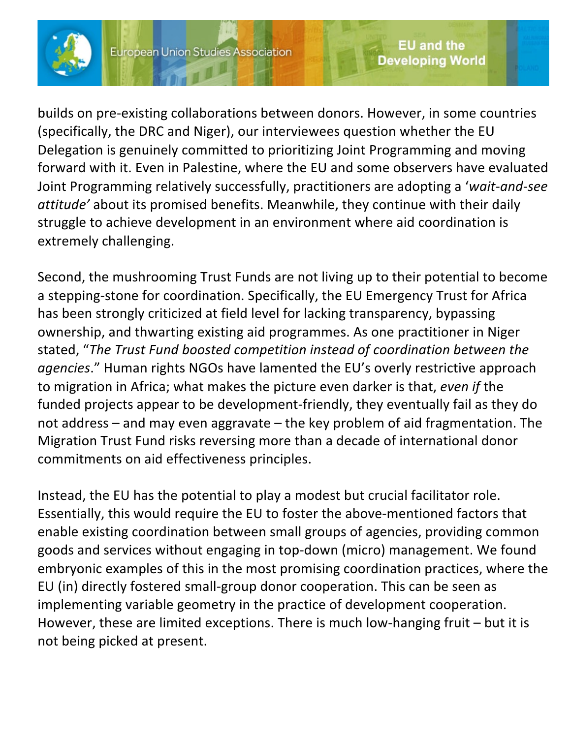

builds on pre-existing collaborations between donors. However, in some countries (specifically, the DRC and Niger), our interviewees question whether the EU Delegation is genuinely committed to prioritizing Joint Programming and moving forward with it. Even in Palestine, where the EU and some observers have evaluated Joint Programming relatively successfully, practitioners are adopting a '*wait-and-see attitude'* about its promised benefits. Meanwhile, they continue with their daily struggle to achieve development in an environment where aid coordination is extremely challenging.

Second, the mushrooming Trust Funds are not living up to their potential to become a stepping-stone for coordination. Specifically, the EU Emergency Trust for Africa has been strongly criticized at field level for lacking transparency, bypassing ownership, and thwarting existing aid programmes. As one practitioner in Niger stated, "*The Trust Fund boosted competition instead of coordination between the agencies*." Human rights NGOs have lamented the EU's overly restrictive approach to migration in Africa; what makes the picture even darker is that, *even if* the funded projects appear to be development-friendly, they eventually fail as they do not address – and may even aggravate – the key problem of aid fragmentation. The Migration Trust Fund risks reversing more than a decade of international donor commitments on aid effectiveness principles.

Instead, the EU has the potential to play a modest but crucial facilitator role. Essentially, this would require the EU to foster the above-mentioned factors that enable existing coordination between small groups of agencies, providing common goods and services without engaging in top-down (micro) management. We found embryonic examples of this in the most promising coordination practices, where the EU (in) directly fostered small-group donor cooperation. This can be seen as implementing variable geometry in the practice of development cooperation. However, these are limited exceptions. There is much low-hanging fruit – but it is not being picked at present.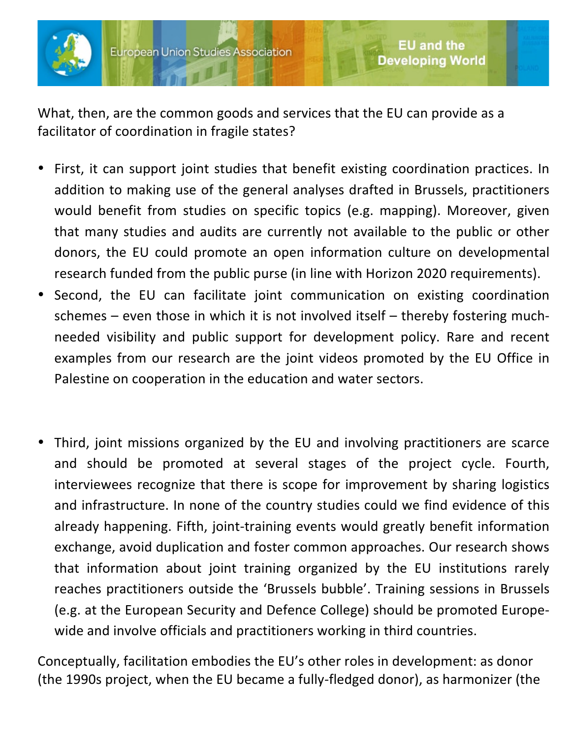

What, then, are the common goods and services that the EU can provide as a facilitator of coordination in fragile states?

• First, it can support joint studies that benefit existing coordination practices. In addition to making use of the general analyses drafted in Brussels, practitioners would benefit from studies on specific topics (e.g. mapping). Moreover, given that many studies and audits are currently not available to the public or other donors, the EU could promote an open information culture on developmental research funded from the public purse (in line with Horizon 2020 requirements).

**EU and the** 

**Developing World** 

- Second, the EU can facilitate joint communication on existing coordination schemes  $-$  even those in which it is not involved itself  $-$  thereby fostering muchneeded visibility and public support for development policy. Rare and recent examples from our research are the joint videos promoted by the EU Office in Palestine on cooperation in the education and water sectors.
- Third, joint missions organized by the EU and involving practitioners are scarce and should be promoted at several stages of the project cycle. Fourth, interviewees recognize that there is scope for improvement by sharing logistics and infrastructure. In none of the country studies could we find evidence of this already happening. Fifth, joint-training events would greatly benefit information exchange, avoid duplication and foster common approaches. Our research shows that information about joint training organized by the EU institutions rarely reaches practitioners outside the 'Brussels bubble'. Training sessions in Brussels (e.g. at the European Security and Defence College) should be promoted Europewide and involve officials and practitioners working in third countries.

Conceptually, facilitation embodies the EU's other roles in development: as donor (the 1990s project, when the EU became a fully-fledged donor), as harmonizer (the